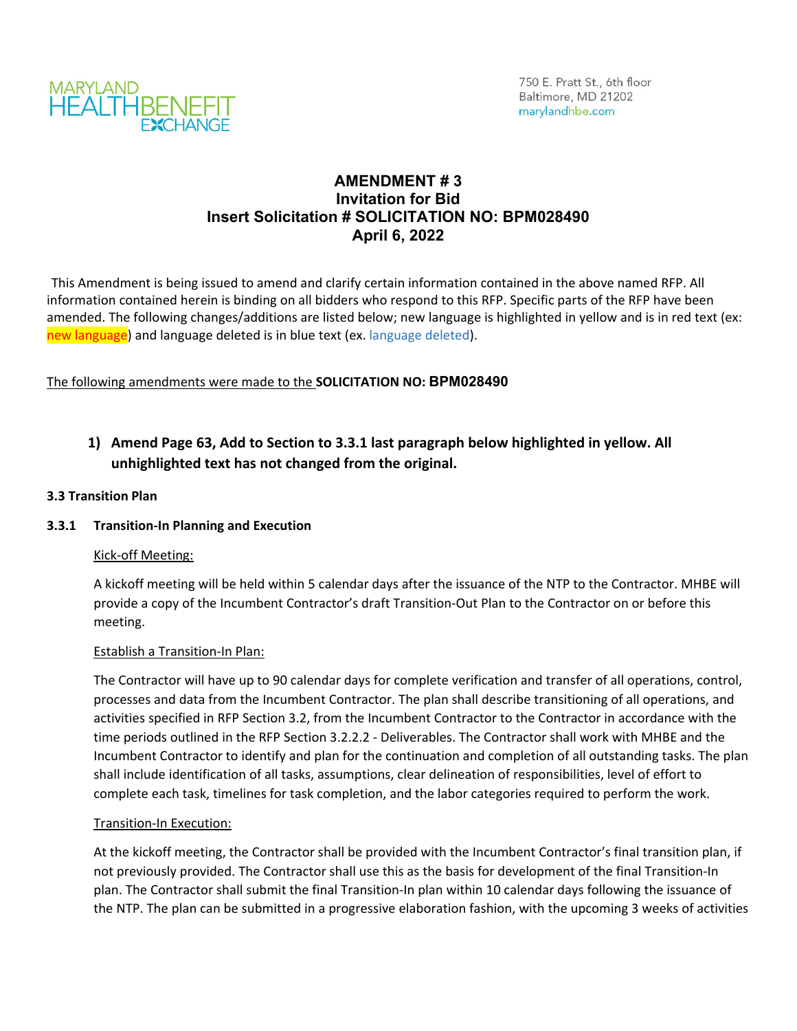

## **AMENDMENT # 3 Invitation for Bid Insert Solicitation # SOLICITATION NO: BPM028490 April 6, 2022**

This Amendment is being issued to amend and clarify certain information contained in the above named RFP. All information contained herein is binding on all bidders who respond to this RFP. Specific parts of the RFP have been amended. The following changes/additions are listed below; new language is highlighted in yellow and is in red text (ex: new language) and language deleted is in blue text (ex. language deleted).

## The following amendments were made to the **SOLICITATION NO: BPM028490**

# **1) Amend Page 63, Add to Section to 3.3.1 last paragraph below highlighted in yellow. All unhighlighted text has not changed from the original.**

### **3.3 Transition Plan**

### **3.3.1 Transition‐In Planning and Execution**

### Kick‐off Meeting:

A kickoff meeting will be held within 5 calendar days after the issuance of the NTP to the Contractor. MHBE will provide a copy of the Incumbent Contractor's draft Transition‐Out Plan to the Contractor on or before this meeting.

#### Establish a Transition-In Plan:

The Contractor will have up to 90 calendar days for complete verification and transfer of all operations, control, processes and data from the Incumbent Contractor. The plan shall describe transitioning of all operations, and activities specified in RFP Section 3.2, from the Incumbent Contractor to the Contractor in accordance with the time periods outlined in the RFP Section 3.2.2.2 ‐ Deliverables. The Contractor shall work with MHBE and the Incumbent Contractor to identify and plan for the continuation and completion of all outstanding tasks. The plan shall include identification of all tasks, assumptions, clear delineation of responsibilities, level of effort to complete each task, timelines for task completion, and the labor categories required to perform the work.

#### Transition-In Execution:

At the kickoff meeting, the Contractor shall be provided with the Incumbent Contractor's final transition plan, if not previously provided. The Contractor shall use this as the basis for development of the final Transition‐In plan. The Contractor shall submit the final Transition‐In plan within 10 calendar days following the issuance of the NTP. The plan can be submitted in a progressive elaboration fashion, with the upcoming 3 weeks of activities